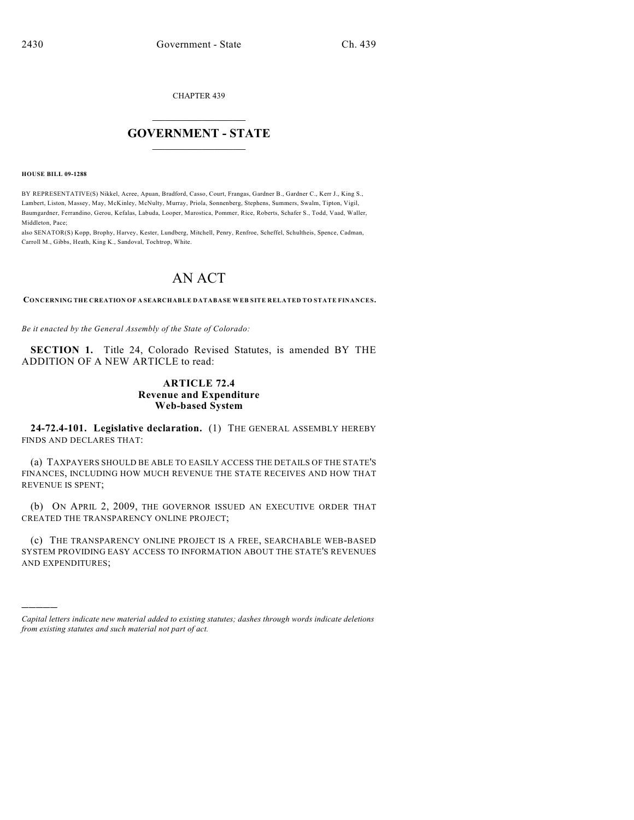CHAPTER 439

## $\mathcal{L}_\text{max}$  . The set of the set of the set of the set of the set of the set of the set of the set of the set of the set of the set of the set of the set of the set of the set of the set of the set of the set of the set **GOVERNMENT - STATE**  $\_$   $\_$   $\_$   $\_$   $\_$   $\_$   $\_$   $\_$

**HOUSE BILL 09-1288**

)))))

BY REPRESENTATIVE(S) Nikkel, Acree, Apuan, Bradford, Casso, Court, Frangas, Gardner B., Gardner C., Kerr J., King S., Lambert, Liston, Massey, May, McKinley, McNulty, Murray, Priola, Sonnenberg, Stephens, Summers, Swalm, Tipton, Vigil, Baumgardner, Ferrandino, Gerou, Kefalas, Labuda, Looper, Marostica, Pommer, Rice, Roberts, Schafer S., Todd, Vaad, Waller, Middleton, Pace;

also SENATOR(S) Kopp, Brophy, Harvey, Kester, Lundberg, Mitchell, Penry, Renfroe, Scheffel, Schultheis, Spence, Cadman, Carroll M., Gibbs, Heath, King K., Sandoval, Tochtrop, White.

## AN ACT

**CONCERNING THE CREATION OF A SEARCHABLE DATABASE WEB SITE RELATED TO STATE FINANCES.**

*Be it enacted by the General Assembly of the State of Colorado:*

**SECTION 1.** Title 24, Colorado Revised Statutes, is amended BY THE ADDITION OF A NEW ARTICLE to read:

## **ARTICLE 72.4 Revenue and Expenditure Web-based System**

**24-72.4-101. Legislative declaration.** (1) THE GENERAL ASSEMBLY HEREBY FINDS AND DECLARES THAT:

(a) TAXPAYERS SHOULD BE ABLE TO EASILY ACCESS THE DETAILS OF THE STATE'S FINANCES, INCLUDING HOW MUCH REVENUE THE STATE RECEIVES AND HOW THAT REVENUE IS SPENT;

(b) ON APRIL 2, 2009, THE GOVERNOR ISSUED AN EXECUTIVE ORDER THAT CREATED THE TRANSPARENCY ONLINE PROJECT;

(c) THE TRANSPARENCY ONLINE PROJECT IS A FREE, SEARCHABLE WEB-BASED SYSTEM PROVIDING EASY ACCESS TO INFORMATION ABOUT THE STATE'S REVENUES AND EXPENDITURES;

*Capital letters indicate new material added to existing statutes; dashes through words indicate deletions from existing statutes and such material not part of act.*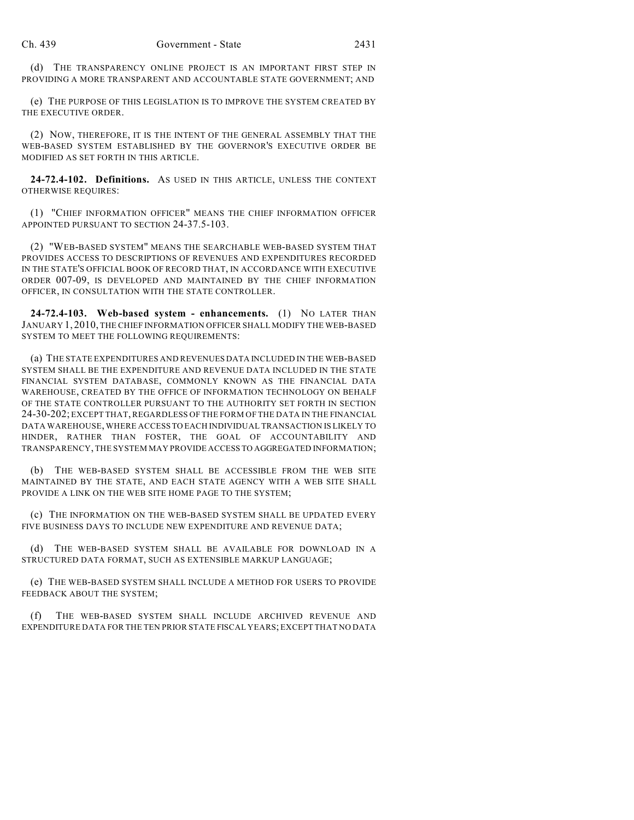(d) THE TRANSPARENCY ONLINE PROJECT IS AN IMPORTANT FIRST STEP IN PROVIDING A MORE TRANSPARENT AND ACCOUNTABLE STATE GOVERNMENT; AND

(e) THE PURPOSE OF THIS LEGISLATION IS TO IMPROVE THE SYSTEM CREATED BY THE EXECUTIVE ORDER.

(2) NOW, THEREFORE, IT IS THE INTENT OF THE GENERAL ASSEMBLY THAT THE WEB-BASED SYSTEM ESTABLISHED BY THE GOVERNOR'S EXECUTIVE ORDER BE MODIFIED AS SET FORTH IN THIS ARTICLE.

**24-72.4-102. Definitions.** AS USED IN THIS ARTICLE, UNLESS THE CONTEXT OTHERWISE REQUIRES:

(1) "CHIEF INFORMATION OFFICER" MEANS THE CHIEF INFORMATION OFFICER APPOINTED PURSUANT TO SECTION 24-37.5-103.

(2) "WEB-BASED SYSTEM" MEANS THE SEARCHABLE WEB-BASED SYSTEM THAT PROVIDES ACCESS TO DESCRIPTIONS OF REVENUES AND EXPENDITURES RECORDED IN THE STATE'S OFFICIAL BOOK OF RECORD THAT, IN ACCORDANCE WITH EXECUTIVE ORDER 007-09, IS DEVELOPED AND MAINTAINED BY THE CHIEF INFORMATION OFFICER, IN CONSULTATION WITH THE STATE CONTROLLER.

**24-72.4-103. Web-based system - enhancements.** (1) NO LATER THAN JANUARY 1, 2010, THE CHIEF INFORMATION OFFICER SHALL MODIFY THE WEB-BASED SYSTEM TO MEET THE FOLLOWING REQUIREMENTS:

(a) THE STATE EXPENDITURES AND REVENUES DATA INCLUDED IN THE WEB-BASED SYSTEM SHALL BE THE EXPENDITURE AND REVENUE DATA INCLUDED IN THE STATE FINANCIAL SYSTEM DATABASE, COMMONLY KNOWN AS THE FINANCIAL DATA WAREHOUSE, CREATED BY THE OFFICE OF INFORMATION TECHNOLOGY ON BEHALF OF THE STATE CONTROLLER PURSUANT TO THE AUTHORITY SET FORTH IN SECTION 24-30-202; EXCEPT THAT, REGARDLESS OF THE FORM OF THE DATA IN THE FINANCIAL DATA WAREHOUSE, WHERE ACCESS TO EACH INDIVIDUAL TRANSACTION IS LIKELY TO HINDER, RATHER THAN FOSTER, THE GOAL OF ACCOUNTABILITY AND TRANSPARENCY, THE SYSTEM MAY PROVIDE ACCESS TO AGGREGATED INFORMATION;

(b) THE WEB-BASED SYSTEM SHALL BE ACCESSIBLE FROM THE WEB SITE MAINTAINED BY THE STATE, AND EACH STATE AGENCY WITH A WEB SITE SHALL PROVIDE A LINK ON THE WEB SITE HOME PAGE TO THE SYSTEM;

(c) THE INFORMATION ON THE WEB-BASED SYSTEM SHALL BE UPDATED EVERY FIVE BUSINESS DAYS TO INCLUDE NEW EXPENDITURE AND REVENUE DATA;

(d) THE WEB-BASED SYSTEM SHALL BE AVAILABLE FOR DOWNLOAD IN A STRUCTURED DATA FORMAT, SUCH AS EXTENSIBLE MARKUP LANGUAGE;

(e) THE WEB-BASED SYSTEM SHALL INCLUDE A METHOD FOR USERS TO PROVIDE FEEDBACK ABOUT THE SYSTEM;

(f) THE WEB-BASED SYSTEM SHALL INCLUDE ARCHIVED REVENUE AND EXPENDITURE DATA FOR THE TEN PRIOR STATE FISCAL YEARS; EXCEPT THAT NO DATA